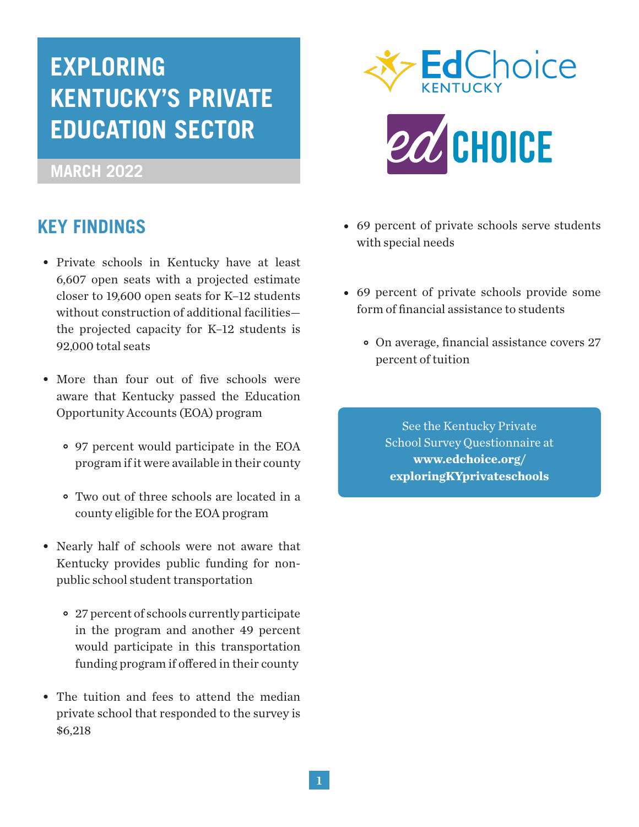# **EXPLORING KENTUCKY'S PRIVATE EDUCATION SECTOR**

## **MARCH 2022**

## **KEY FINDINGS**

- Private schools in Kentucky have at least 6,607 open seats with a projected estimate closer to 19,600 open seats for K–12 students without construction of additional facilities the projected capacity for K–12 students is 92,000 total seats
- More than four out of five schools were aware that Kentucky passed the Education Opportunity Accounts (EOA) program
	- 97 percent would participate in the EOA program if it were available in their county
	- Two out of three schools are located in a county eligible for the EOA program
- Nearly half of schools were not aware that Kentucky provides public funding for nonpublic school student transportation
	- 27 percent of schools currently participate in the program and another 49 percent would participate in this transportation funding program if offered in their county
- The tuition and fees to attend the median private school that responded to the survey is \$6,218



- 69 percent of private schools serve students with special needs
- 69 percent of private schools provide some form of financial assistance to students
	- On average, financial assistance covers 27 •percent of tuition

See the Kentucky Private School Survey Questionnaire at **www.edchoice.org/ exploringKYprivateschools**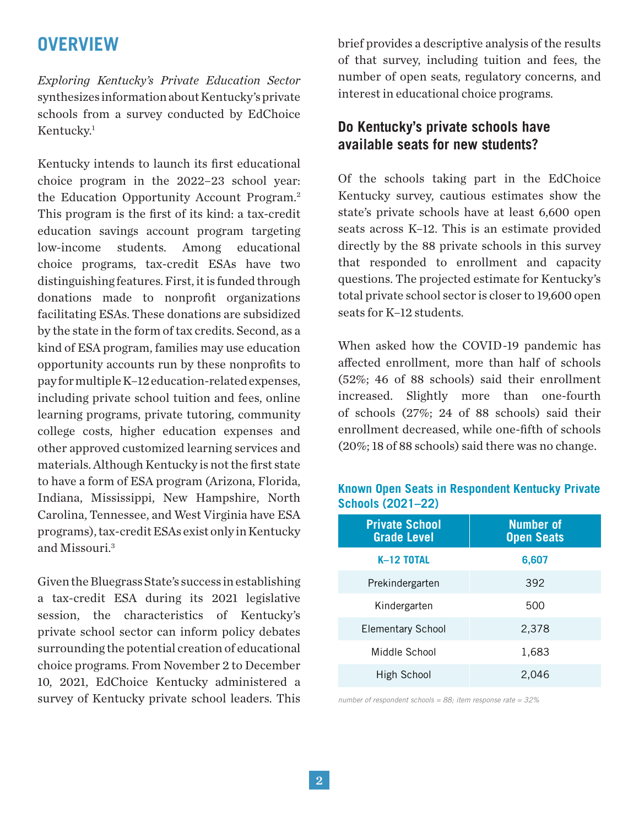## **OVERVIEW**

*Exploring Kentucky's Private Education Sector*  synthesizes information about Kentucky's private schools from a survey conducted by EdChoice Kentucky.<sup>1</sup>

Kentucky intends to launch its first educational choice program in the 2022–23 school year: the Education Opportunity Account Program.2 This program is the first of its kind: a tax-credit education savings account program targeting low-income students. Among educational choice programs, tax-credit ESAs have two distinguishing features. First, it is funded through donations made to nonprofit organizations facilitating ESAs. These donations are subsidized by the state in the form of tax credits. Second, as a kind of ESA program, families may use education opportunity accounts run by these nonprofits to pay for multiple K–12 education-related expenses, including private school tuition and fees, online learning programs, private tutoring, community college costs, higher education expenses and other approved customized learning services and materials. Although Kentucky is not the first state to have a form of ESA program (Arizona, Florida, Indiana, Mississippi, New Hampshire, North Carolina, Tennessee, and West Virginia have ESA programs), tax-credit ESAs exist only in Kentucky and Missouri.3

Given the Bluegrass State's success in establishing a tax-credit ESA during its 2021 legislative session, the characteristics of Kentucky's private school sector can inform policy debates surrounding the potential creation of educational choice programs. From November 2 to December 10, 2021, EdChoice Kentucky administered a survey of Kentucky private school leaders. This

brief provides a descriptive analysis of the results of that survey, including tuition and fees, the number of open seats, regulatory concerns, and interest in educational choice programs.

## **Do Kentucky's private schools have available seats for new students?**

Of the schools taking part in the EdChoice Kentucky survey, cautious estimates show the state's private schools have at least 6,600 open seats across K–12. This is an estimate provided directly by the 88 private schools in this survey that responded to enrollment and capacity questions. The projected estimate for Kentucky's total private school sector is closer to 19,600 open seats for K–12 students.

When asked how the COVID-19 pandemic has affected enrollment, more than half of schools (52%; 46 of 88 schools) said their enrollment increased. Slightly more than one-fourth of schools (27%; 24 of 88 schools) said their enrollment decreased, while one-fifth of schools (20%; 18 of 88 schools) said there was no change.

| <b>Private School</b><br><b>Grade Level</b> | <b>Number of</b><br><b>Open Seats</b> |
|---------------------------------------------|---------------------------------------|
| K-12 TOTAL                                  | 6,607                                 |
| Prekindergarten                             | 392                                   |
| Kindergarten                                | 500                                   |
| <b>Elementary School</b>                    | 2,378                                 |
| Middle School                               | 1,683                                 |
| High School                                 | 2.046                                 |

#### **Known Open Seats in Respondent Kentucky Private Schools (2021–22)**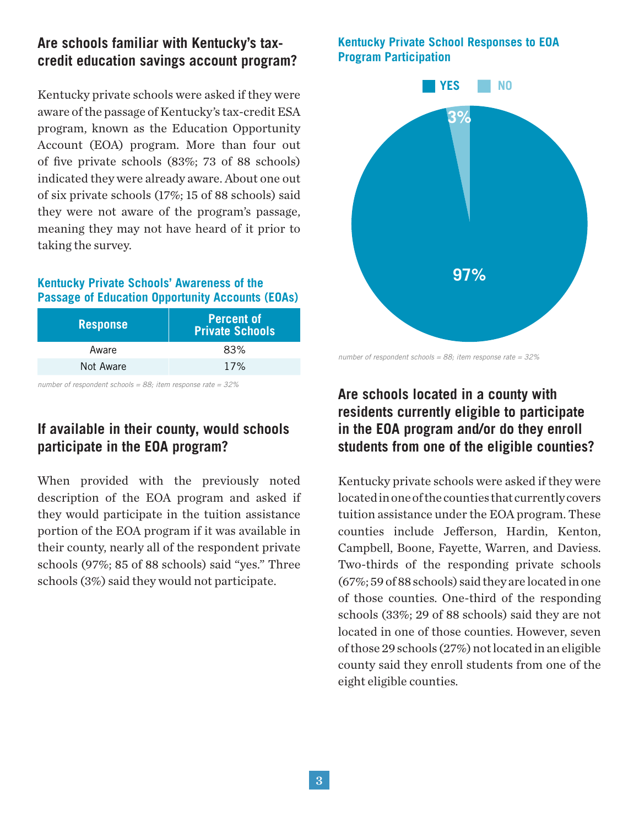## **Are schools familiar with Kentucky's taxcredit education savings account program?**

Kentucky private schools were asked if they were aware of the passage of Kentucky's tax-credit ESA program, known as the Education Opportunity Account (EOA) program. More than four out of five private schools (83%; 73 of 88 schools) indicated they were already aware. About one out of six private schools (17%; 15 of 88 schools) said they were not aware of the program's passage, meaning they may not have heard of it prior to taking the survey.

#### **Kentucky Private Schools' Awareness of the Passage of Education Opportunity Accounts (EOAs)**

| <b>Response</b> | <b>Percent of</b><br>Private Schools <sup>1</sup> |
|-----------------|---------------------------------------------------|
| Aware           | 83%                                               |
| Not Aware       | 17%                                               |

*number of respondent schools = 88; item response rate = 32%*

## **If available in their county, would schools participate in the EOA program?**

When provided with the previously noted description of the EOA program and asked if they would participate in the tuition assistance portion of the EOA program if it was available in their county, nearly all of the respondent private schools (97%; 85 of 88 schools) said "yes." Three schools (3%) said they would not participate.

#### **Kentucky Private School Responses to EOA Program Participation**



*number of respondent schools = 88; item response rate = 32%*

## **Are schools located in a county with residents currently eligible to participate in the EOA program and/or do they enroll students from one of the eligible counties?**

Kentucky private schools were asked if they were located in one of the counties that currently covers tuition assistance under the EOA program. These counties include Jefferson, Hardin, Kenton, Campbell, Boone, Fayette, Warren, and Daviess. Two-thirds of the responding private schools (67%; 59 of 88 schools) said they are located in one of those counties. One-third of the responding schools (33%; 29 of 88 schools) said they are not located in one of those counties. However, seven of those 29 schools (27%) not located in an eligible county said they enroll students from one of the eight eligible counties.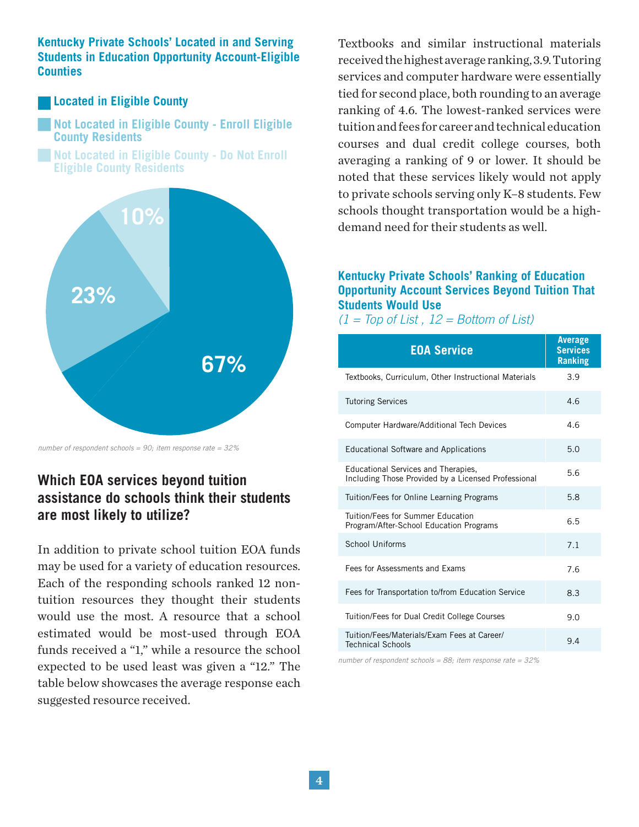#### **Kentucky Private Schools' Located in and Serving Students in Education Opportunity Account-Eligible Counties**

#### **Located in Eligible County**

**Not Located in Eligible County - Enroll Eligible County Residents**

**Not Located in Eligible County - Do Not Enroll Eligible County Residents**



*number of respondent schools = 90; item response rate = 32%*

## **Which EOA services beyond tuition assistance do schools think their students are most likely to utilize?**

In addition to private school tuition EOA funds may be used for a variety of education resources. Each of the responding schools ranked 12 nontuition resources they thought their students would use the most. A resource that a school estimated would be most-used through EOA funds received a "1," while a resource the school expected to be used least was given a "12." The table below showcases the average response each suggested resource received.

Textbooks and similar instructional materials received the highest average ranking, 3.9. Tutoring services and computer hardware were essentially tied for second place, both rounding to an average ranking of 4.6. The lowest-ranked services were tuition and fees for career and technical education courses and dual credit college courses, both averaging a ranking of 9 or lower. It should be noted that these services likely would not apply to private schools serving only K–8 students. Few schools thought transportation would be a highdemand need for their students as well.

#### **Kentucky Private Schools' Ranking of Education Opportunity Account Services Beyond Tuition That Students Would Use**

#### *(1 = Top of List , 12 = Bottom of List)*

| <b>EOA Service</b>                                                                         | <b>Average</b><br><b>Services</b><br><b>Ranking</b> |
|--------------------------------------------------------------------------------------------|-----------------------------------------------------|
| Textbooks, Curriculum, Other Instructional Materials                                       | 3.9                                                 |
| <b>Tutoring Services</b>                                                                   | 4.6                                                 |
| <b>Computer Hardware/Additional Tech Devices</b>                                           | 4.6                                                 |
| <b>Educational Software and Applications</b>                                               | 5.0                                                 |
| Educational Services and Therapies,<br>Including Those Provided by a Licensed Professional | 5.6                                                 |
| Tuition/Fees for Online Learning Programs                                                  | 5.8                                                 |
| Tuition/Fees for Summer Education<br>Program/After-School Education Programs               | 6.5                                                 |
| School Uniforms                                                                            | 7.1                                                 |
| Fees for Assessments and Exams                                                             | 7.6                                                 |
| Fees for Transportation to/from Education Service                                          | 8.3                                                 |
| Tuition/Fees for Dual Credit College Courses                                               | 9.0                                                 |
| Tuition/Fees/Materials/Exam Fees at Career/<br><b>Technical Schools</b>                    | 9.4                                                 |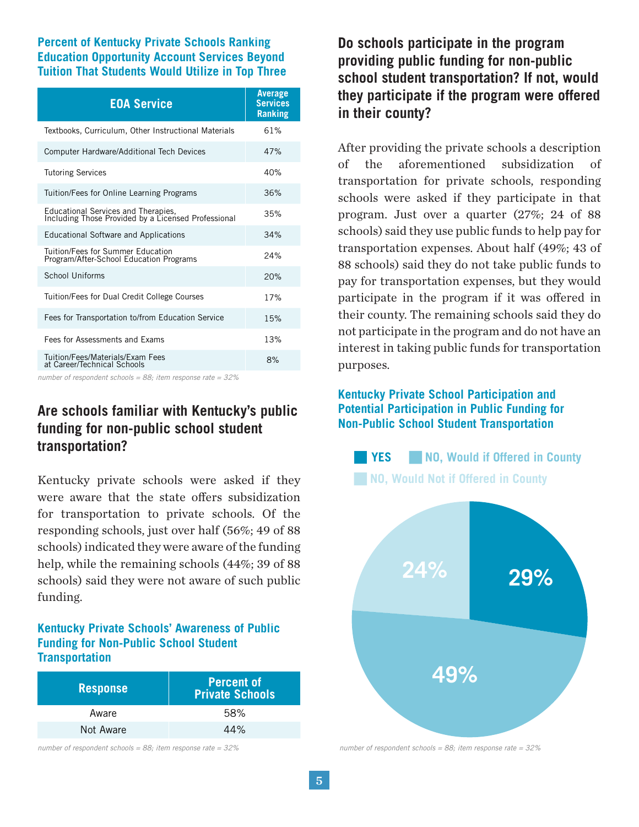#### **Percent of Kentucky Private Schools Ranking Education Opportunity Account Services Beyond Tuition That Students Would Utilize in Top Three**

| <b>EOA Service</b>                                                                         | <b>Average</b><br><b>Services</b><br><b>Ranking</b> |
|--------------------------------------------------------------------------------------------|-----------------------------------------------------|
| Textbooks, Curriculum, Other Instructional Materials                                       | 61%                                                 |
| Computer Hardware/Additional Tech Devices                                                  | 47%                                                 |
| <b>Tutoring Services</b>                                                                   | 40%                                                 |
| Tuition/Fees for Online Learning Programs                                                  | 36%                                                 |
| Educational Services and Therapies,<br>Including Those Provided by a Licensed Professional | 35%                                                 |
| <b>Educational Software and Applications</b>                                               | 34%                                                 |
| Tuition/Fees for Summer Education<br>Program/After-School Education Programs               | 24%                                                 |
| School Uniforms                                                                            | 20%                                                 |
| Tuition/Fees for Dual Credit College Courses                                               | 17%                                                 |
| Fees for Transportation to/from Education Service                                          | 15%                                                 |
| Fees for Assessments and Exams                                                             | 13%                                                 |
| Tuition/Fees/Materials/Exam Fees<br>at Career/Technical Schools                            | 8%                                                  |

*number of respondent schools = 88; item response rate = 32%*

## **Are schools familiar with Kentucky's public funding for non-public school student transportation?**

Kentucky private schools were asked if they were aware that the state offers subsidization for transportation to private schools. Of the responding schools, just over half (56%; 49 of 88 schools) indicated they were aware of the funding help, while the remaining schools (44%; 39 of 88 schools) said they were not aware of such public funding.

#### **Kentucky Private Schools' Awareness of Public Funding for Non-Public School Student Transportation**

| <b>Response</b> | <b>Percent of</b><br><b>Private Schools</b> |
|-----------------|---------------------------------------------|
| Aware           | 58%                                         |
| Not Aware       | 44%                                         |

*number of respondent schools = 88; item response rate = 32%*

**Do schools participate in the program providing public funding for non-public school student transportation? If not, would they participate if the program were offered in their county?**

After providing the private schools a description of the aforementioned subsidization of transportation for private schools, responding schools were asked if they participate in that program. Just over a quarter (27%; 24 of 88 schools) said they use public funds to help pay for transportation expenses. About half (49%; 43 of 88 schools) said they do not take public funds to pay for transportation expenses, but they would participate in the program if it was offered in their county. The remaining schools said they do not participate in the program and do not have an interest in taking public funds for transportation purposes.

#### **Kentucky Private School Participation and Potential Participation in Public Funding for Non-Public School Student Transportation**

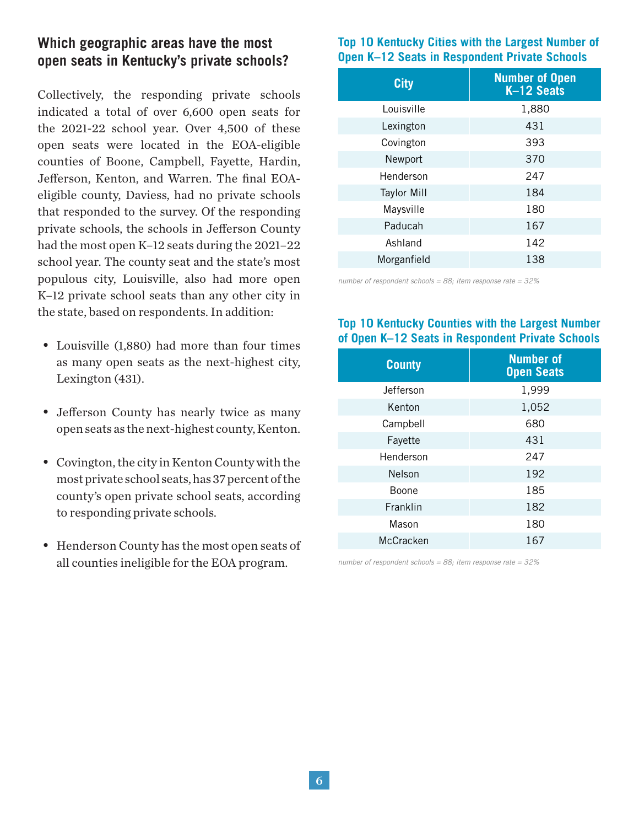## **Which geographic areas have the most open seats in Kentucky's private schools?**

Collectively, the responding private schools indicated a total of over 6,600 open seats for the 2021-22 school year. Over 4,500 of these open seats were located in the EOA-eligible counties of Boone, Campbell, Fayette, Hardin, Jefferson, Kenton, and Warren. The final EOAeligible county, Daviess, had no private schools that responded to the survey. Of the responding private schools, the schools in Jefferson County had the most open K–12 seats during the 2021–22 school year. The county seat and the state's most populous city, Louisville, also had more open K–12 private school seats than any other city in the state, based on respondents. In addition:

- Louisville (1,880) had more than four times as many open seats as the next-highest city, Lexington (431).
- Jefferson County has nearly twice as many open seats as the next-highest county, Kenton.
- Covington, the city in Kenton County with the most private school seats, has 37 percent of the county's open private school seats, according to responding private schools.
- Henderson County has the most open seats of all counties ineligible for the EOA program.

#### **Top 10 Kentucky Cities with the Largest Number of Open K–12 Seats in Respondent Private Schools**

| <b>City</b>        | <b>Number of Open</b><br>K-12 Seats |
|--------------------|-------------------------------------|
| Louisville         | 1,880                               |
| Lexington          | 431                                 |
| Covington          | 393                                 |
| Newport            | 370                                 |
| Henderson          | 247                                 |
| <b>Taylor Mill</b> | 184                                 |
| Maysville          | 180                                 |
| Paducah            | 167                                 |
| Ashland            | 142                                 |
| Morganfield        | 138                                 |
|                    |                                     |

*number of respondent schools = 88; item response rate = 32%*

#### **Top 10 Kentucky Counties with the Largest Number of Open K–12 Seats in Respondent Private Schools**

| <b>County</b> | <b>Number of</b><br><b>Open Seats</b> |
|---------------|---------------------------------------|
| Jefferson     | 1,999                                 |
| Kenton        | 1,052                                 |
| Campbell      | 680                                   |
| Fayette       | 431                                   |
| Henderson     | 247                                   |
| Nelson        | 192                                   |
| Boone         | 185                                   |
| Franklin      | 182                                   |
| Mason         | 180                                   |
| McCracken     | 167                                   |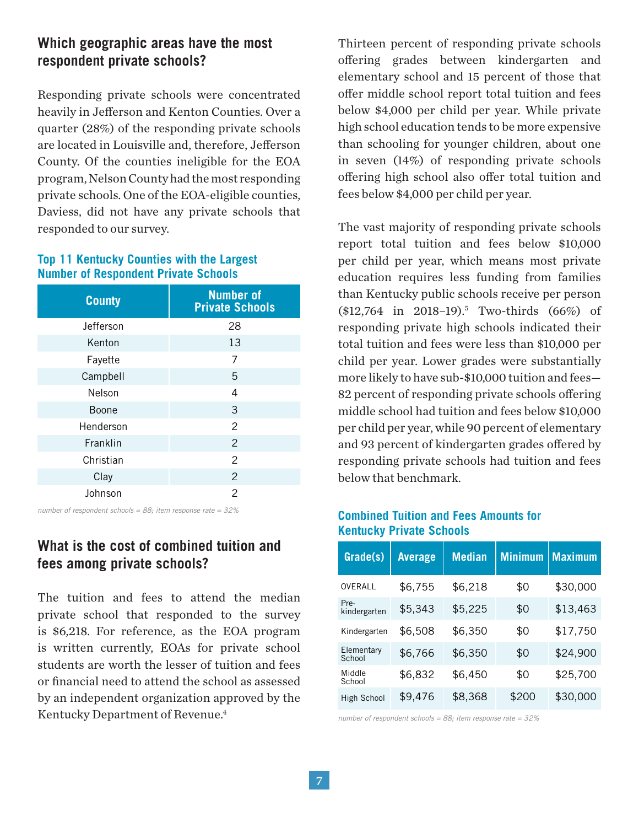## **Which geographic areas have the most respondent private schools?**

Responding private schools were concentrated heavily in Jefferson and Kenton Counties. Over a quarter (28%) of the responding private schools are located in Louisville and, therefore, Jefferson County. Of the counties ineligible for the EOA program, Nelson County had the most responding private schools. One of the EOA-eligible counties, Daviess, did not have any private schools that responded to our survey.

#### **Top 11 Kentucky Counties with the Largest Number of Respondent Private Schools**

| <b>County</b> | <b>Number of</b><br><b>Private Schools</b> |
|---------------|--------------------------------------------|
| Jefferson     | 28                                         |
| Kenton        | 13                                         |
| Fayette       | 7                                          |
| Campbell      | 5                                          |
| Nelson        | 4                                          |
| Boone         | 3                                          |
| Henderson     | 2                                          |
| Franklin      | $\overline{2}$                             |
| Christian     | $\overline{2}$                             |
| Clay          | $\overline{2}$                             |
| Johnson       | $\mathcal{P}$                              |

### **What is the cost of combined tuition and fees among private schools?**

The tuition and fees to attend the median private school that responded to the survey is \$6,218. For reference, as the EOA program is written currently, EOAs for private school students are worth the lesser of tuition and fees or financial need to attend the school as assessed by an independent organization approved by the Kentucky Department of Revenue.<sup>4</sup>

Thirteen percent of responding private schools offering grades between kindergarten and elementary school and 15 percent of those that offer middle school report total tuition and fees below \$4,000 per child per year. While private high school education tends to be more expensive than schooling for younger children, about one in seven (14%) of responding private schools offering high school also offer total tuition and fees below \$4,000 per child per year.

The vast majority of responding private schools report total tuition and fees below \$10,000 per child per year, which means most private education requires less funding from families than Kentucky public schools receive per person (\$12,764 in 2018–19).5 Two-thirds (66%) of responding private high schools indicated their total tuition and fees were less than \$10,000 per child per year. Lower grades were substantially more likely to have sub-\$10,000 tuition and fees— 82 percent of responding private schools offering middle school had tuition and fees below \$10,000 per child per year, while 90 percent of elementary and 93 percent of kindergarten grades offered by responding private schools had tuition and fees below that benchmark.

### *number of respondent schools = 88; item response rate = 32%* **Combined Tuition and Fees Amounts for Kentucky Private Schools**

| Grade(s)             | <b>Average</b> | <b>Median</b> | <b>Minimum</b> | <b>Maximum</b> |
|----------------------|----------------|---------------|----------------|----------------|
| OVERALL              | \$6,755        | \$6,218       | \$0            | \$30,000       |
| Pre-<br>kindergarten | \$5,343        | \$5,225       | \$0            | \$13,463       |
| Kindergarten         | \$6,508        | \$6,350       | \$0            | \$17,750       |
| Elementary<br>School | \$6,766        | \$6,350       | \$0            | \$24,900       |
| Middle<br>School     | \$6,832        | \$6,450       | \$0            | \$25,700       |
| High School          | \$9,476        | \$8,368       | \$200          | \$30,000       |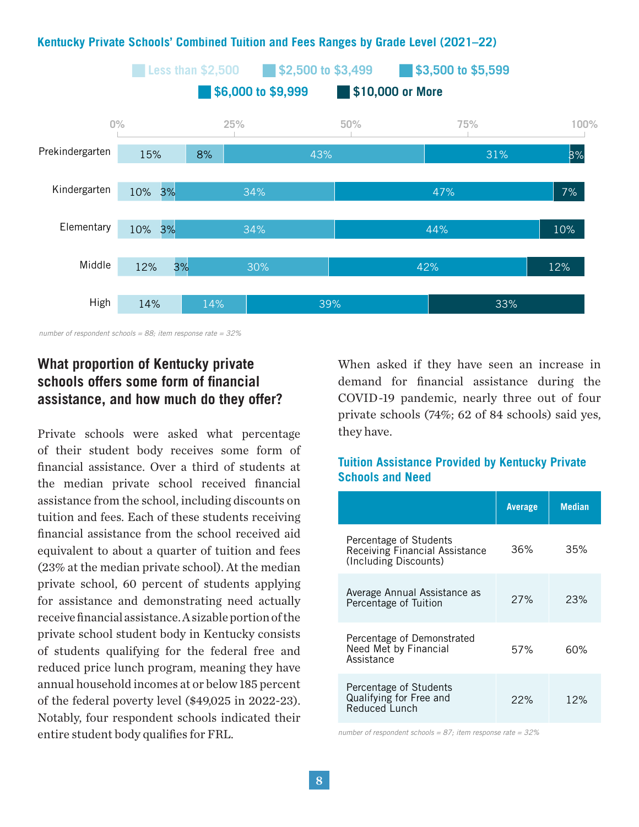#### **Example 52,500 <b>\$2,500 to \$3,499 \$3,500 to \$5,599 \$6,000 to \$9,999 0% 100%** Prekindergarten Kindergarten **Elementary** Middle High **\$10,000 or More** 15% 10% 3% 10% 3% 12% 14% 14% 8% 43% 34% 34% 30% 39% 42% 44% 47% 7% 10% 12% 33% 31% 3% 3% **25% 50% 75%**

#### **Kentucky Private Schools' Combined Tuition and Fees Ranges by Grade Level (2021–22)**

*number of respondent schools = 88; item response rate = 32%*

## **What proportion of Kentucky private schools offers some form of financial assistance, and how much do they offer?**

Private schools were asked what percentage of their student body receives some form of financial assistance. Over a third of students at the median private school received financial assistance from the school, including discounts on tuition and fees. Each of these students receiving financial assistance from the school received aid equivalent to about a quarter of tuition and fees (23% at the median private school). At the median private school, 60 percent of students applying for assistance and demonstrating need actually receive financial assistance. A sizable portion of the private school student body in Kentucky consists of students qualifying for the federal free and reduced price lunch program, meaning they have annual household incomes at or below 185 percent of the federal poverty level (\$49,025 in 2022-23). Notably, four respondent schools indicated their entire student body qualifies for FRL.

When asked if they have seen an increase in demand for financial assistance during the COVID-19 pandemic, nearly three out of four private schools (74%; 62 of 84 schools) said yes, they have.

#### **Tuition Assistance Provided by Kentucky Private Schools and Need**

|                                                                                   | <b>Average</b> | <b>Median</b> |
|-----------------------------------------------------------------------------------|----------------|---------------|
| Percentage of Students<br>Receiving Financial Assistance<br>(Including Discounts) | 36%            | 35%           |
| Average Annual Assistance as<br>Percentage of Tuition                             | 27%            | 23%           |
| Percentage of Demonstrated<br>Need Met by Financial<br>Assistance                 | 57%            | 60%           |
| Percentage of Students<br>Qualifying for Free and<br>Reduced Lunch                | 22%            | 12%           |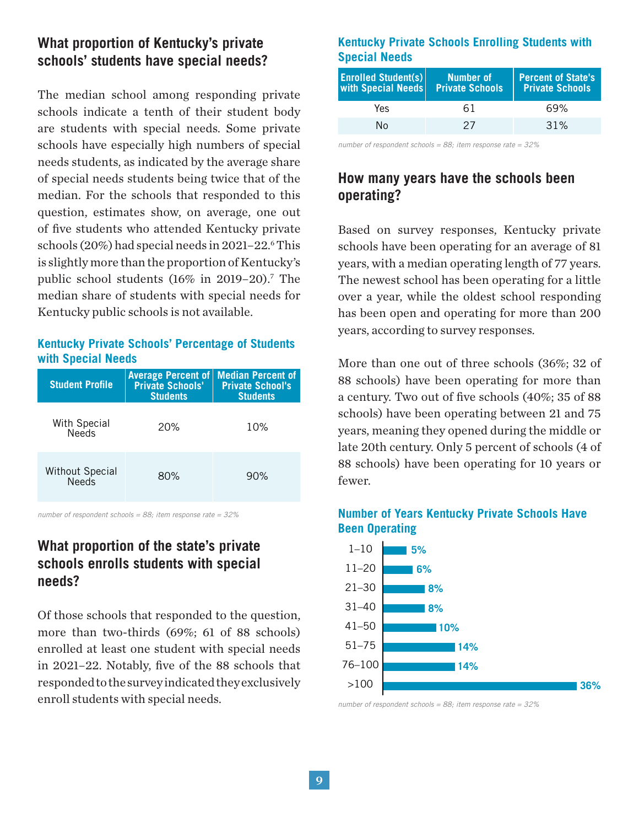## **What proportion of Kentucky's private schools' students have special needs?**

The median school among responding private schools indicate a tenth of their student body are students with special needs. Some private schools have especially high numbers of special needs students, as indicated by the average share of special needs students being twice that of the median. For the schools that responded to this question, estimates show, on average, one out of five students who attended Kentucky private schools (20%) had special needs in 2021–22.<sup>6</sup> This is slightly more than the proportion of Kentucky's public school students (16% in 2019–20).<sup>7</sup> The median share of students with special needs for Kentucky public schools is not available.

#### **Kentucky Private Schools' Percentage of Students with Special Needs**

| <b>Student Profile</b>                 | <b>Average Percent of   Median Percent of</b><br><b>Private Schools'</b><br><b>Students</b> | <b>Private School's</b><br><b>Students</b> |
|----------------------------------------|---------------------------------------------------------------------------------------------|--------------------------------------------|
| With Special<br><b>Needs</b>           | 20%                                                                                         | 10%                                        |
| <b>Without Special</b><br><b>Needs</b> | 80%                                                                                         | 90%                                        |

*number of respondent schools = 88; item response rate = 32%*

## **What proportion of the state's private schools enrolls students with special needs?**

Of those schools that responded to the question, more than two-thirds (69%; 61 of 88 schools) enrolled at least one student with special needs in 2021–22. Notably, five of the 88 schools that responded to the survey indicated they exclusively enroll students with special needs.

#### **Kentucky Private Schools Enrolling Students with Special Needs**

| Number of<br>with Special Needs Private Schools | <b>Percent of State's</b><br><b>Private Schools</b> |
|-------------------------------------------------|-----------------------------------------------------|
| 61                                              | 69%                                                 |
| 27                                              | $.31\%$                                             |
|                                                 |                                                     |

*number of respondent schools = 88; item response rate = 32%*

## **How many years have the schools been operating?**

Based on survey responses, Kentucky private schools have been operating for an average of 81 years, with a median operating length of 77 years. The newest school has been operating for a little over a year, while the oldest school responding has been open and operating for more than 200 years, according to survey responses.

More than one out of three schools (36%; 32 of 88 schools) have been operating for more than a century. Two out of five schools (40%; 35 of 88 schools) have been operating between 21 and 75 years, meaning they opened during the middle or late 20th century. Only 5 percent of schools (4 of 88 schools) have been operating for 10 years or fewer.



### **Number of Years Kentucky Private Schools Have Been Operating**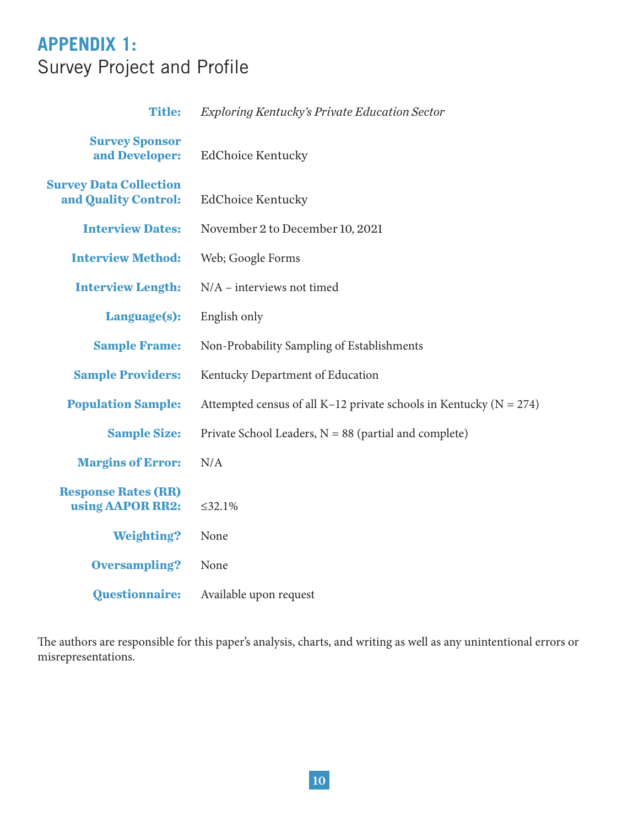## **APPENDIX 1:**  Survey Project and Profile

| <b>Title:</b>                                         | <b>Exploring Kentucky's Private Education Sector</b>                   |
|-------------------------------------------------------|------------------------------------------------------------------------|
| <b>Survey Sponsor</b><br>and Developer:               | <b>EdChoice Kentucky</b>                                               |
| <b>Survey Data Collection</b><br>and Quality Control: | <b>EdChoice Kentucky</b>                                               |
| <b>Interview Dates:</b>                               | November 2 to December 10, 2021                                        |
| <b>Interview Method:</b>                              | Web; Google Forms                                                      |
| <b>Interview Length:</b>                              | $N/A$ – interviews not timed                                           |
| Language(s):                                          | English only                                                           |
| <b>Sample Frame:</b>                                  | Non-Probability Sampling of Establishments                             |
| <b>Sample Providers:</b>                              | Kentucky Department of Education                                       |
| <b>Population Sample:</b>                             | Attempted census of all K-12 private schools in Kentucky ( $N = 274$ ) |
| <b>Sample Size:</b>                                   | Private School Leaders, $N = 88$ (partial and complete)                |
| <b>Margins of Error:</b>                              | N/A                                                                    |
| <b>Response Rates (RR)</b><br>using AAPOR RR2:        | $\leq$ 32.1%                                                           |
| <b>Weighting?</b>                                     | None                                                                   |
| <b>Oversampling?</b>                                  | None                                                                   |
| Questionnaire:                                        | Available upon request                                                 |

The authors are responsible for this paper's analysis, charts, and writing as well as any unintentional errors or misrepresentations.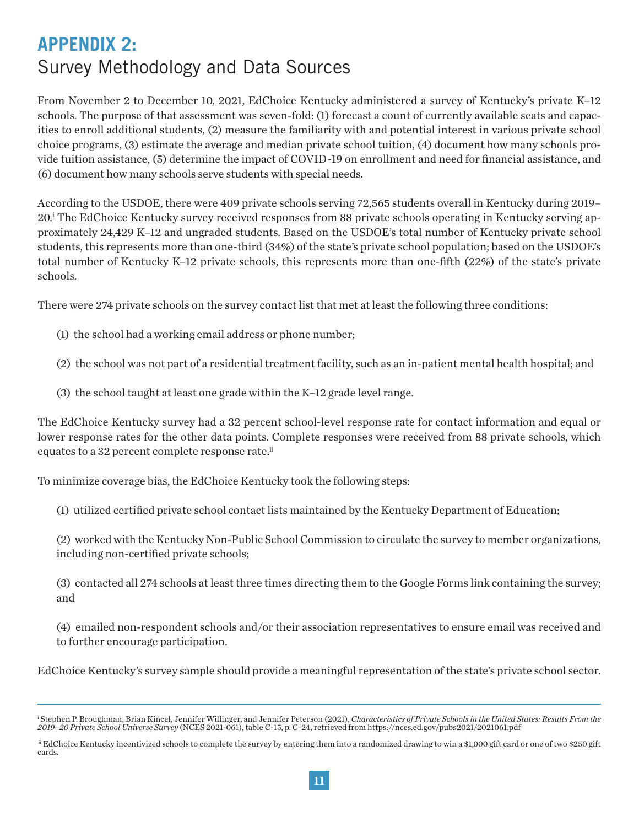## **APPENDIX 2:**  Survey Methodology and Data Sources

From November 2 to December 10, 2021, EdChoice Kentucky administered a survey of Kentucky's private K–12 schools. The purpose of that assessment was seven-fold: (1) forecast a count of currently available seats and capacities to enroll additional students, (2) measure the familiarity with and potential interest in various private school choice programs, (3) estimate the average and median private school tuition, (4) document how many schools provide tuition assistance, (5) determine the impact of COVID-19 on enrollment and need for financial assistance, and (6) document how many schools serve students with special needs.

According to the USDOE, there were 409 private schools serving 72,565 students overall in Kentucky during 2019– 20.<sup>i</sup> The EdChoice Kentucky survey received responses from 88 private schools operating in Kentucky serving approximately 24,429 K–12 and ungraded students. Based on the USDOE's total number of Kentucky private school students, this represents more than one-third (34%) of the state's private school population; based on the USDOE's total number of Kentucky K–12 private schools, this represents more than one-fifth (22%) of the state's private schools.

There were 274 private schools on the survey contact list that met at least the following three conditions:

- (1) the school had a working email address or phone number;
- (2) the school was not part of a residential treatment facility, such as an in-patient mental health hospital; and
- (3) the school taught at least one grade within the K–12 grade level range.

The EdChoice Kentucky survey had a 32 percent school-level response rate for contact information and equal or lower response rates for the other data points. Complete responses were received from 88 private schools, which equates to a 32 percent complete response rate.<sup>ii</sup>

To minimize coverage bias, the EdChoice Kentucky took the following steps:

(1) utilized certified private school contact lists maintained by the Kentucky Department of Education;

(2) worked with the Kentucky Non-Public School Commission to circulate the survey to member organizations, including non-certified private schools;

(3) contacted all 274 schools at least three times directing them to the Google Forms link containing the survey; and

(4) emailed non-respondent schools and/or their association representatives to ensure email was received and to further encourage participation.

EdChoice Kentucky's survey sample should provide a meaningful representation of the state's private school sector.

i Stephen P. Broughman, Brian Kincel, Jennifer Willinger, and Jennifer Peterson (2021), *Characteristics of Private Schools in the United States: Results From the 2019–20 Private School Universe Survey* (NCES 2021-061), table C-15, p. C-24, retrieved from https://nces.ed.gov/pubs2021/2021061.pdf

ii EdChoice Kentucky incentivized schools to complete the survey by entering them into a randomized drawing to win a \$1,000 gift card or one of two \$250 gift cards.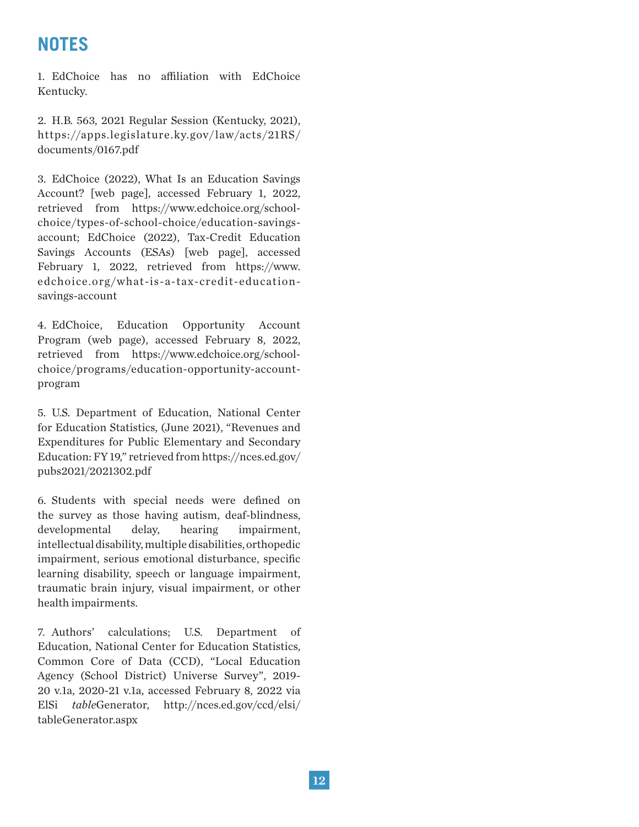## **NOTES**

EdChoice has no affiliation with EdChoice 1. Kentucky.

2. H.B. 563, 2021 Regular Session (Kentucky, 2021), https://apps.legislature.ky.gov/ law/acts/21RS/ documents/0167.pdf

EdChoice (2022), What Is an Education Savings 3. Account? [web page], accessed February 1, 2022, retrieved from https://www.edchoice.org/schoolchoice/types-of-school-choice/education-savingsaccount; EdChoice (2022), Tax-Credit Education Savings Accounts (ESAs) [web page], accessed February 1, 2022, retrieved from https://www. edchoice.org/what-is-a-tax-credit-educationsavings-account

4. EdChoice, Education Opportunity Account Program (web page), accessed February 8, 2022, retrieved from https://www.edchoice.org/schoolchoice/programs/education-opportunity-accountprogram

5. U.S. Department of Education, National Center for Education Statistics, (June 2021), "Revenues and Expenditures for Public Elementary and Secondary Education: FY 19," retrieved from https://nces.ed.gov/ pubs2021/2021302.pdf

6. Students with special needs were defined on the survey as those having autism, deaf-blindness, developmental delay, hearing impairment, intellectual disability, multiple disabilities, orthopedic impairment, serious emotional disturbance, specific learning disability, speech or language impairment, traumatic brain injury, visual impairment, or other health impairments.

7. Authors' calculations; U.S. Department of Education, National Center for Education Statistics, Common Core of Data (CCD), "Local Education Agency (School District) Universe Survey", 2019- 20 v.1a, 2020-21 v.1a, accessed February 8, 2022 via ElSi *table*Generator, http://nces.ed.gov/ccd/elsi/ tableGenerator.aspx